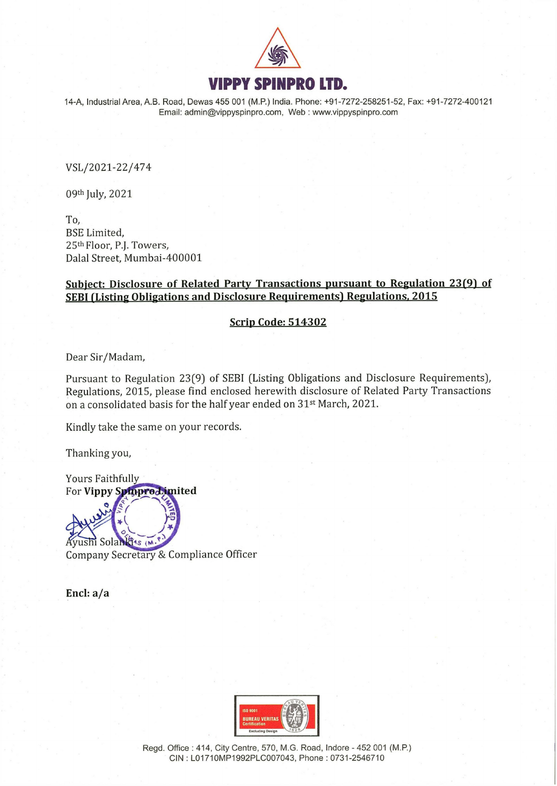

14-A, Industrial Area, A.B. Road, Dewas 455 001 (M.P.) India. Phone: +91-7272-258251-52, Fax: +91-7272-400121 Email: admin@vippyspinpro.com, Web : www.vippyspinpro.com

VSL/2021-22/474

09th July, 2021

To, BSE Limited, 25th Floor, P.J. Towers, Dalal Street, Mumbai-400001

# Subject: Disclosure of Related Party Transactions pursuant to Regulation 23(9) of SEBI (Listing Obligations and Disclosure Requirements) Regulations, 2015

## Scrip Code: 514302

Dear Sir/Madam,

Pursuant to Regulation 23(9) of SEBI (Listing Obligations and Disclosure Requirements), Regulations, 2015, please find enclosed herewith disclosure of Related Party Transactions on a consolidated basis for the half year ended on 31<sup>st</sup> March, 2021.

Kindly take the same on your records.

Thanking you,

**Yours Faithfully** For Vippy Spinprodimited

Ayushi Solan GAS (M.) Company Secretary & Compliance Officer

Encl: a/a



Regd. Office : 414, City Centre, 570, M.G. Road, Indore - 452 001 (M.P.) CIN : LO1710MP1992PLC007043, Phone : 0731-2546710